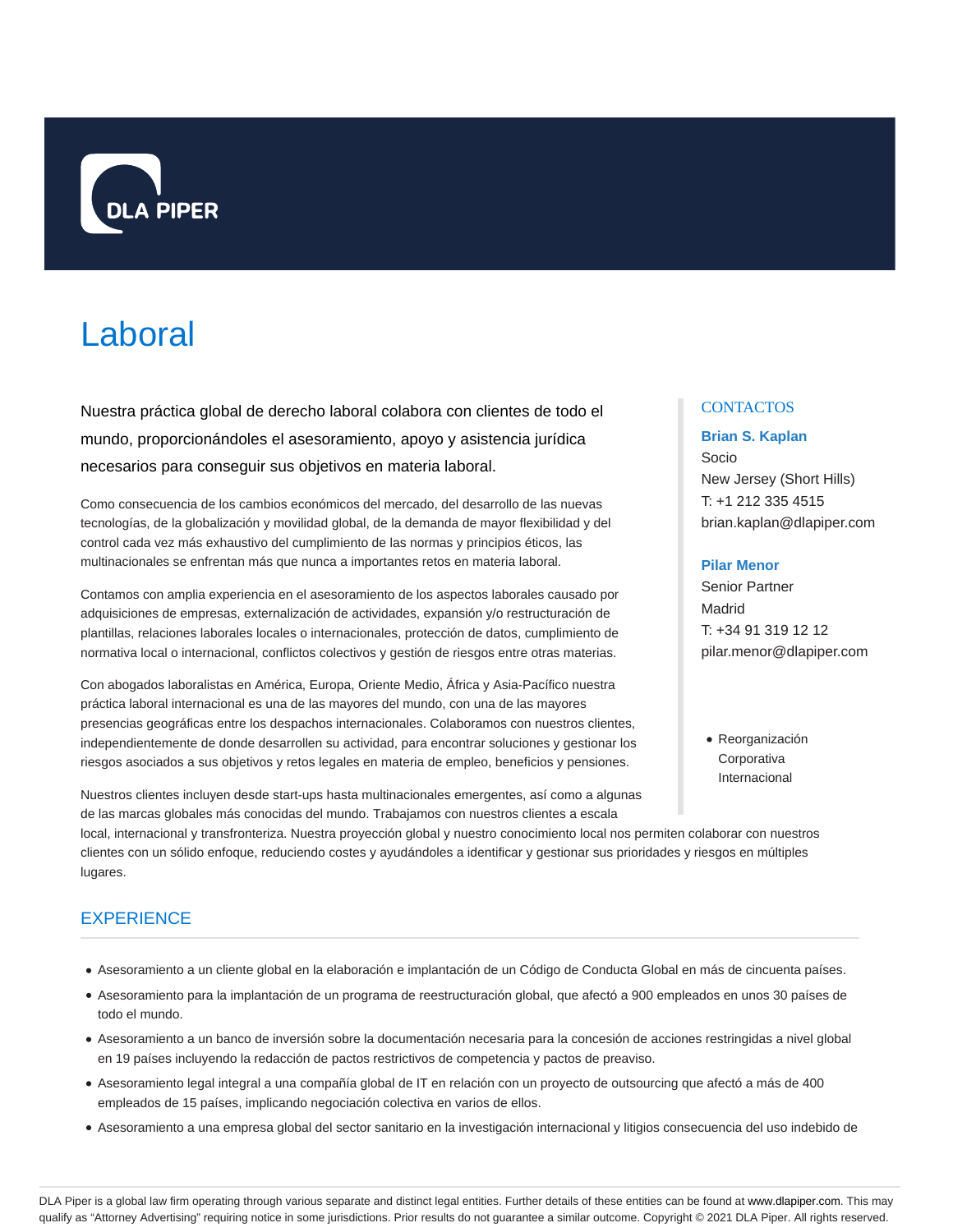

# Laboral

Nuestra práctica global de derecho laboral colabora con clientes de todo el mundo, proporcionándoles el asesoramiento, apoyo y asistencia jurídica necesarios para conseguir sus objetivos en materia laboral.

Como consecuencia de los cambios económicos del mercado, del desarrollo de las nuevas tecnologías, de la globalización y movilidad global, de la demanda de mayor flexibilidad y del control cada vez más exhaustivo del cumplimiento de las normas y principios éticos, las multinacionales se enfrentan más que nunca a importantes retos en materia laboral.

Contamos con amplia experiencia en el asesoramiento de los aspectos laborales causado por adquisiciones de empresas, externalización de actividades, expansión y/o restructuración de plantillas, relaciones laborales locales o internacionales, protección de datos, cumplimiento de normativa local o internacional, conflictos colectivos y gestión de riesgos entre otras materias.

Con abogados laboralistas en América, Europa, Oriente Medio, África y Asia-Pacífico nuestra práctica laboral internacional es una de las mayores del mundo, con una de las mayores presencias geográficas entre los despachos internacionales. Colaboramos con nuestros clientes, independientemente de donde desarrollen su actividad, para encontrar soluciones y gestionar los riesgos asociados a sus objetivos y retos legales en materia de empleo, beneficios y pensiones.

Nuestros clientes incluyen desde start-ups hasta multinacionales emergentes, así como a algunas de las marcas globales más conocidas del mundo. Trabajamos con nuestros clientes a escala

## **CONTACTOS**

#### **Brian S. Kaplan**

Socio New Jersey (Short Hills) T: +1 212 335 4515 brian.kaplan@dlapiper.com

## **Pilar Menor**

Senior Partner Madrid T: +34 91 319 12 12 pilar.menor@dlapiper.com

Reorganización **Corporativa** Internacional

local, internacional y transfronteriza. Nuestra proyección global y nuestro conocimiento local nos permiten colaborar con nuestros clientes con un sólido enfoque, reduciendo costes y ayudándoles a identificar y gestionar sus prioridades y riesgos en múltiples lugares.

# **EXPERIENCE**

- Asesoramiento a un cliente global en la elaboración e implantación de un Código de Conducta Global en más de cincuenta países.
- Asesoramiento para la implantación de un programa de reestructuración global, que afectó a 900 empleados en unos 30 países de todo el mundo.
- Asesoramiento a un banco de inversión sobre la documentación necesaria para la concesión de acciones restringidas a nivel global en 19 países incluyendo la redacción de pactos restrictivos de competencia y pactos de preaviso.
- Asesoramiento legal integral a una compañía global de IT en relación con un proyecto de outsourcing que afectó a más de 400 empleados de 15 países, implicando negociación colectiva en varios de ellos.
- Asesoramiento a una empresa global del sector sanitario en la investigación internacional y litigios consecuencia del uso indebido de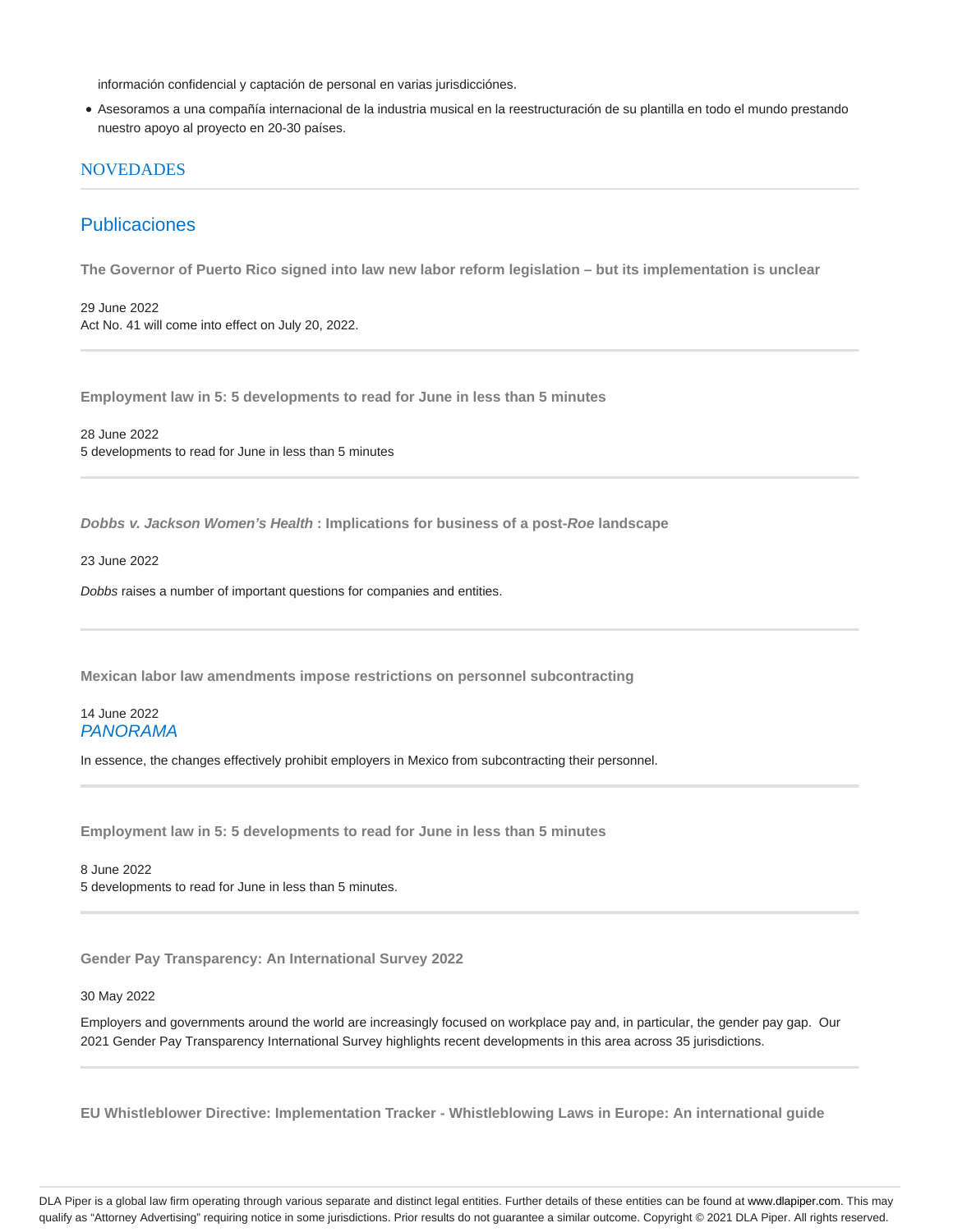información confidencial y captación de personal en varias jurisdicciónes.

Asesoramos a una compañía internacional de la industria musical en la reestructuración de su plantilla en todo el mundo prestando nuestro apoyo al proyecto en 20-30 países.

## **NOVEDADES**

# Publicaciones

**The Governor of Puerto Rico signed into law new labor reform legislation – but its implementation is unclear**

29 June 2022 Act No. 41 will come into effect on July 20, 2022.

**Employment law in 5: 5 developments to read for June in less than 5 minutes**

28 June 2022 5 developments to read for June in less than 5 minutes

**Dobbs v. Jackson Women's Health : Implications for business of a post-Roe landscape**

23 June 2022

Dobbs raises a number of important questions for companies and entities.

**Mexican labor law amendments impose restrictions on personnel subcontracting**

## 14 June 2022 PANORAMA

In essence, the changes effectively prohibit employers in Mexico from subcontracting their personnel.

**Employment law in 5: 5 developments to read for June in less than 5 minutes**

8 June 2022 5 developments to read for June in less than 5 minutes.

**Gender Pay Transparency: An International Survey 2022**

#### 30 May 2022

Employers and governments around the world are increasingly focused on workplace pay and, in particular, the gender pay gap. Our 2021 Gender Pay Transparency International Survey highlights recent developments in this area across 35 jurisdictions.

**EU Whistleblower Directive: Implementation Tracker - Whistleblowing Laws in Europe: An international guide**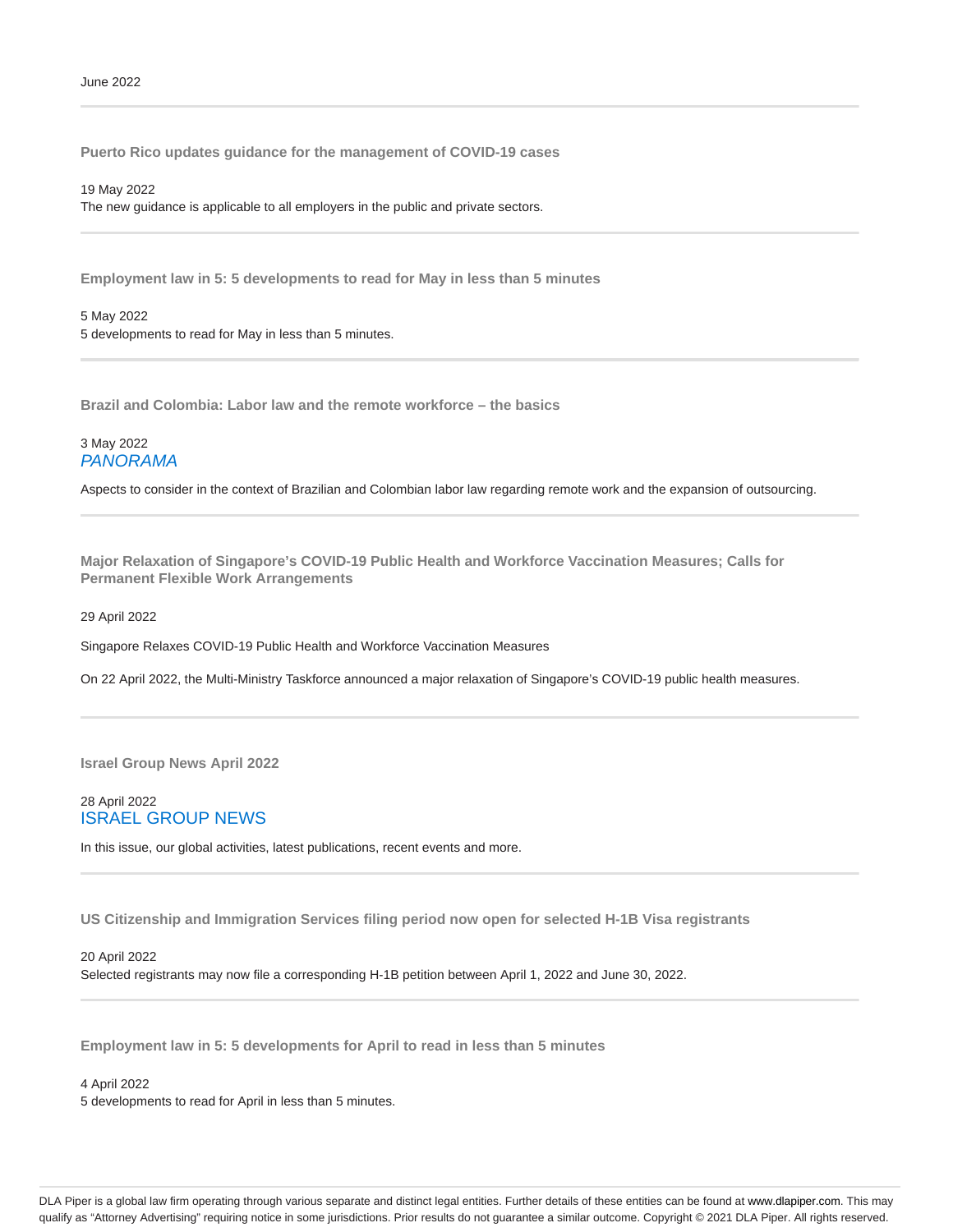**Puerto Rico updates guidance for the management of COVID-19 cases**

19 May 2022 The new guidance is applicable to all employers in the public and private sectors.

**Employment law in 5: 5 developments to read for May in less than 5 minutes**

5 May 2022 5 developments to read for May in less than 5 minutes.

**Brazil and Colombia: Labor law and the remote workforce – the basics**

## 3 May 2022 PANORAMA

Aspects to consider in the context of Brazilian and Colombian labor law regarding remote work and the expansion of outsourcing.

**Major Relaxation of Singapore's COVID-19 Public Health and Workforce Vaccination Measures; Calls for Permanent Flexible Work Arrangements**

29 April 2022

Singapore Relaxes COVID-19 Public Health and Workforce Vaccination Measures

On 22 April 2022, the Multi-Ministry Taskforce announced a major relaxation of Singapore's COVID-19 public health measures.

**Israel Group News April 2022**

## 28 April 2022 ISRAEL GROUP NEWS

In this issue, our global activities, latest publications, recent events and more.

**US Citizenship and Immigration Services filing period now open for selected H-1B Visa registrants**

#### 20 April 2022

Selected registrants may now file a corresponding H-1B petition between April 1, 2022 and June 30, 2022.

**Employment law in 5: 5 developments for April to read in less than 5 minutes**

4 April 2022

5 developments to read for April in less than 5 minutes.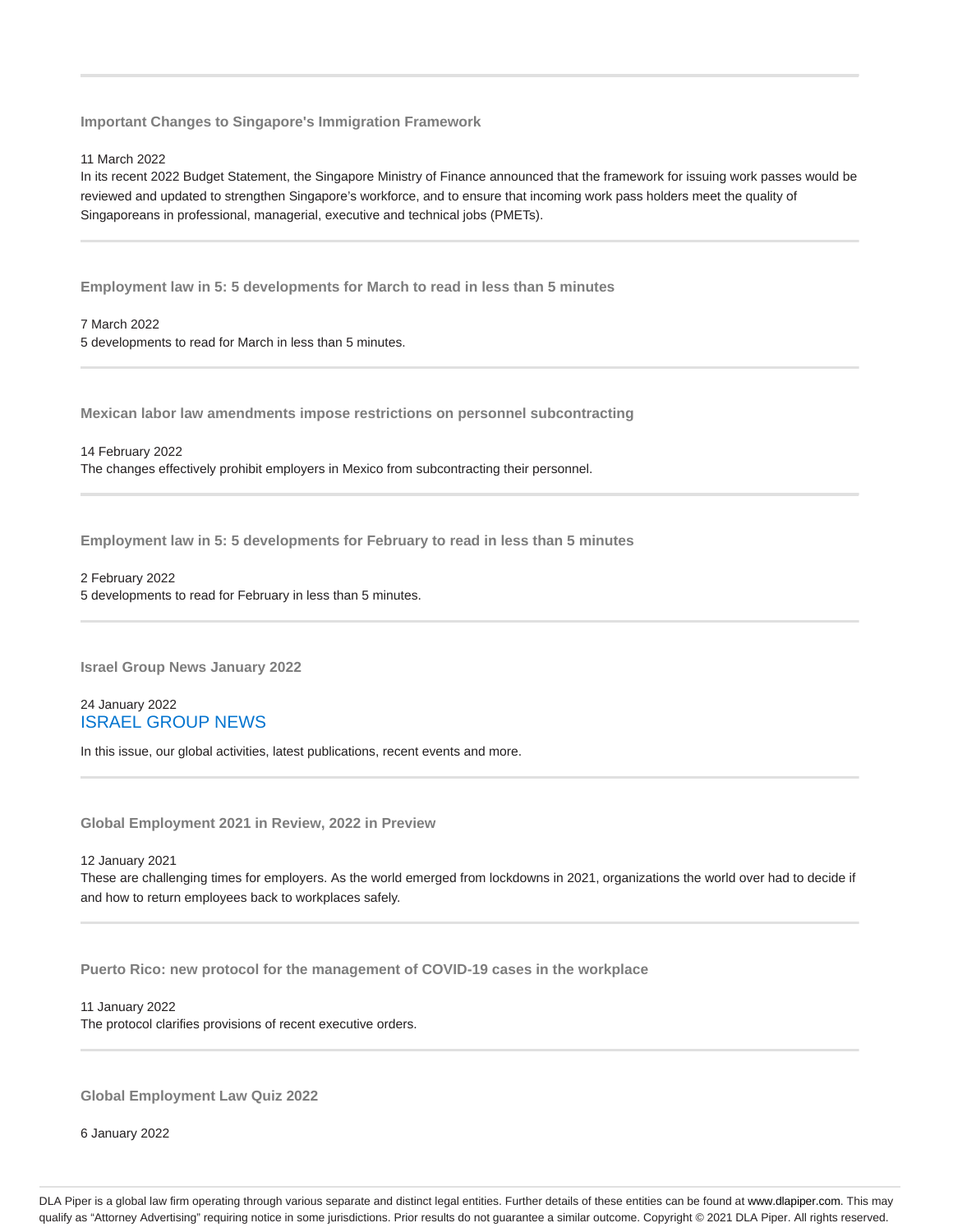**Important Changes to Singapore's Immigration Framework**

11 March 2022

In its recent 2022 Budget Statement, the Singapore Ministry of Finance announced that the framework for issuing work passes would be reviewed and updated to strengthen Singapore's workforce, and to ensure that incoming work pass holders meet the quality of Singaporeans in professional, managerial, executive and technical jobs (PMETs).

**Employment law in 5: 5 developments for March to read in less than 5 minutes**

7 March 2022 5 developments to read for March in less than 5 minutes.

**Mexican labor law amendments impose restrictions on personnel subcontracting**

14 February 2022 The changes effectively prohibit employers in Mexico from subcontracting their personnel.

**Employment law in 5: 5 developments for February to read in less than 5 minutes**

2 February 2022 5 developments to read for February in less than 5 minutes.

**Israel Group News January 2022**

24 January 2022 ISRAEL GROUP NEWS

In this issue, our global activities, latest publications, recent events and more.

**Global Employment 2021 in Review, 2022 in Preview**

12 January 2021

These are challenging times for employers. As the world emerged from lockdowns in 2021, organizations the world over had to decide if and how to return employees back to workplaces safely.

**Puerto Rico: new protocol for the management of COVID-19 cases in the workplace**

11 January 2022 The protocol clarifies provisions of recent executive orders.

**Global Employment Law Quiz 2022**

6 January 2022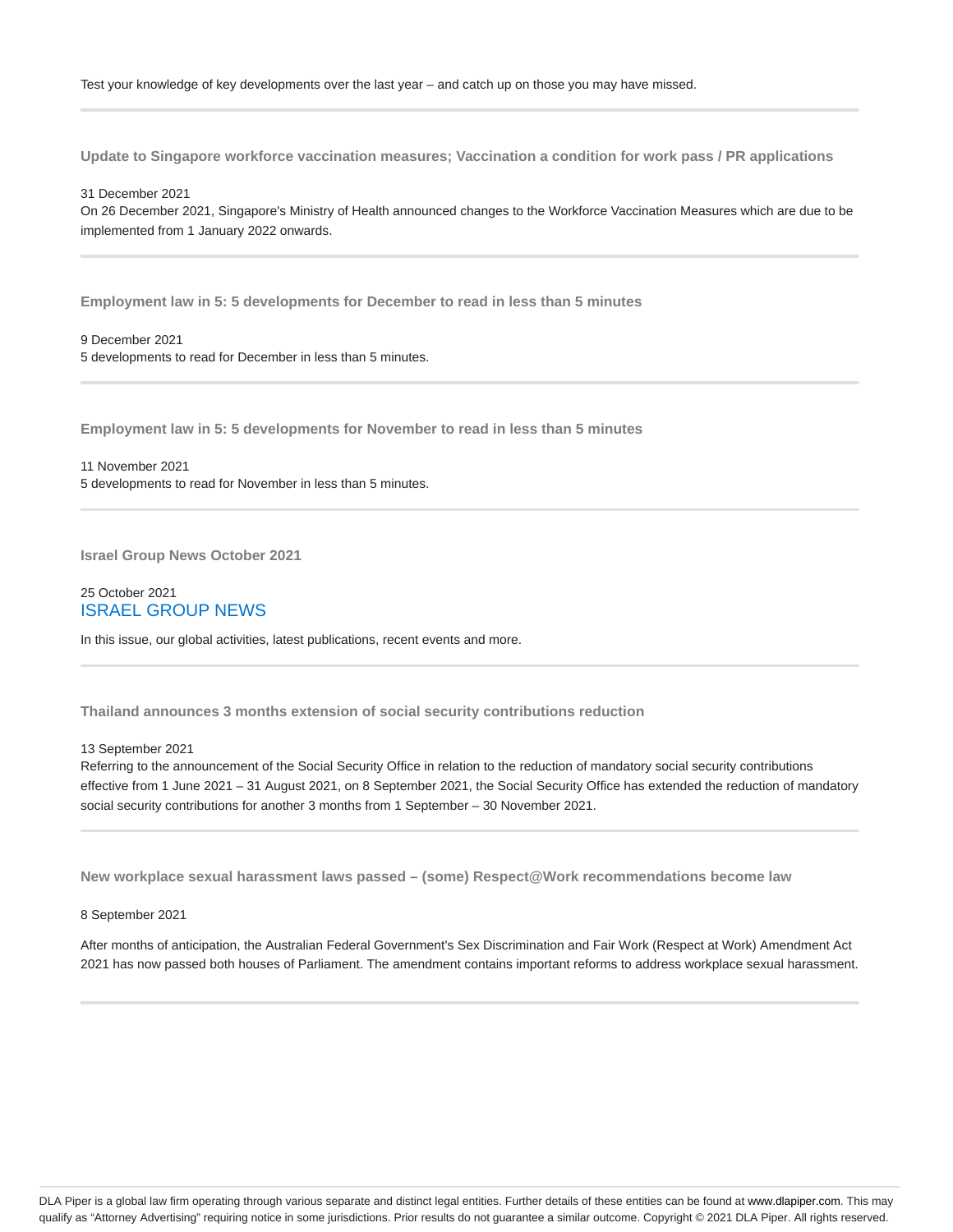**Update to Singapore workforce vaccination measures; Vaccination a condition for work pass / PR applications**

31 December 2021

On 26 December 2021, Singapore's Ministry of Health announced changes to the Workforce Vaccination Measures which are due to be implemented from 1 January 2022 onwards.

**Employment law in 5: 5 developments for December to read in less than 5 minutes**

## 9 December 2021

5 developments to read for December in less than 5 minutes.

**Employment law in 5: 5 developments for November to read in less than 5 minutes**

11 November 2021 5 developments to read for November in less than 5 minutes.

**Israel Group News October 2021**

25 October 2021 ISRAEL GROUP NEWS

In this issue, our global activities, latest publications, recent events and more.

**Thailand announces 3 months extension of social security contributions reduction**

13 September 2021

Referring to the announcement of the Social Security Office in relation to the reduction of mandatory social security contributions effective from 1 June 2021 – 31 August 2021, on 8 September 2021, the Social Security Office has extended the reduction of mandatory social security contributions for another 3 months from 1 September – 30 November 2021.

**New workplace sexual harassment laws passed – (some) Respect@Work recommendations become law**

8 September 2021

After months of anticipation, the Australian Federal Government's Sex Discrimination and Fair Work (Respect at Work) Amendment Act 2021 has now passed both houses of Parliament. The amendment contains important reforms to address workplace sexual harassment.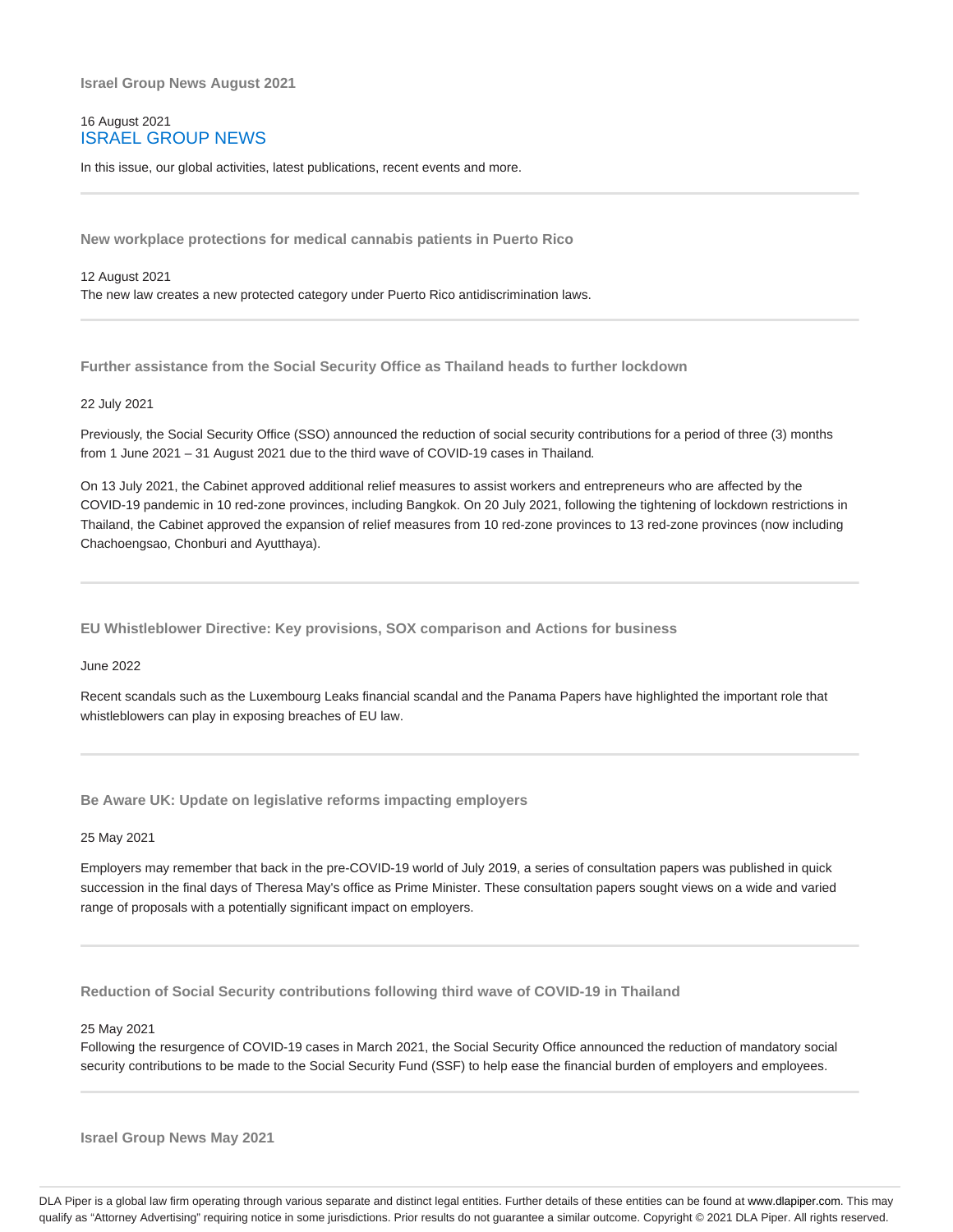**Israel Group News August 2021**

## 16 August 2021 ISRAEL GROUP NEWS

In this issue, our global activities, latest publications, recent events and more.

**New workplace protections for medical cannabis patients in Puerto Rico**

12 August 2021 The new law creates a new protected category under Puerto Rico antidiscrimination laws.

**Further assistance from the Social Security Office as Thailand heads to further lockdown**

#### 22 July 2021

Previously, the Social Security Office (SSO) announced the reduction of social security contributions for a period of three (3) months from 1 June 2021 – 31 August 2021 due to the third wave of COVID-19 cases in Thailand.

On 13 July 2021, the Cabinet approved additional relief measures to assist workers and entrepreneurs who are affected by the COVID-19 pandemic in 10 red-zone provinces, including Bangkok. On 20 July 2021, following the tightening of lockdown restrictions in Thailand, the Cabinet approved the expansion of relief measures from 10 red-zone provinces to 13 red-zone provinces (now including Chachoengsao, Chonburi and Ayutthaya).

**EU Whistleblower Directive: Key provisions, SOX comparison and Actions for business**

June 2022

Recent scandals such as the Luxembourg Leaks financial scandal and the Panama Papers have highlighted the important role that whistleblowers can play in exposing breaches of EU law.

**Be Aware UK: Update on legislative reforms impacting employers**

25 May 2021

Employers may remember that back in the pre-COVID-19 world of July 2019, a series of consultation papers was published in quick succession in the final days of Theresa May's office as Prime Minister. These consultation papers sought views on a wide and varied range of proposals with a potentially significant impact on employers.

**Reduction of Social Security contributions following third wave of COVID-19 in Thailand**

25 May 2021

Following the resurgence of COVID-19 cases in March 2021, the Social Security Office announced the reduction of mandatory social security contributions to be made to the Social Security Fund (SSF) to help ease the financial burden of employers and employees.

**Israel Group News May 2021**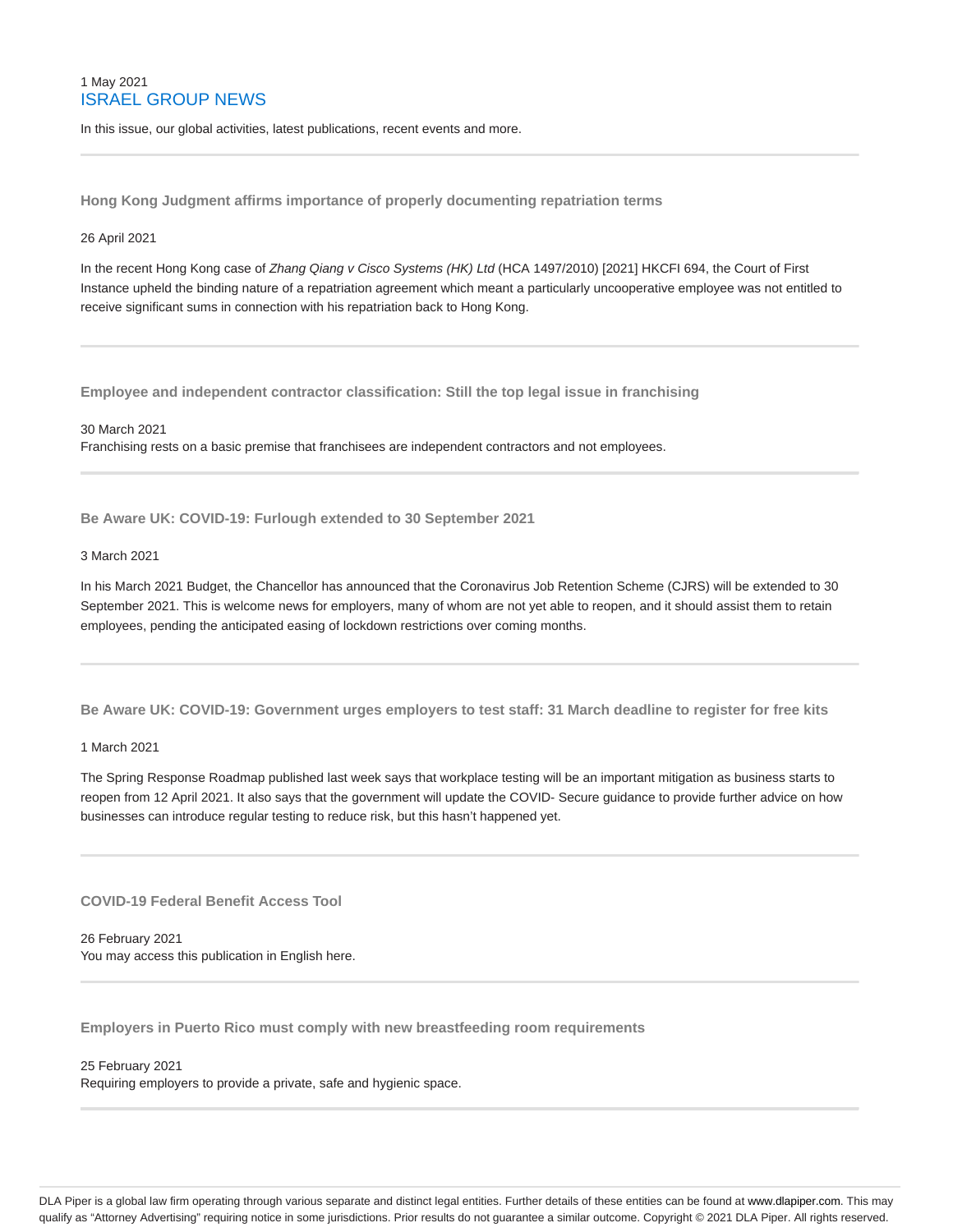## 1 May 2021 ISRAEL GROUP NEWS

In this issue, our global activities, latest publications, recent events and more.

**Hong Kong Judgment affirms importance of properly documenting repatriation terms**

#### 26 April 2021

In the recent Hong Kong case of Zhang Qiang v Cisco Systems (HK) Ltd (HCA 1497/2010) [2021] HKCFI 694, the Court of First Instance upheld the binding nature of a repatriation agreement which meant a particularly uncooperative employee was not entitled to receive significant sums in connection with his repatriation back to Hong Kong.

**Employee and independent contractor classification: Still the top legal issue in franchising**

30 March 2021 Franchising rests on a basic premise that franchisees are independent contractors and not employees.

**Be Aware UK: COVID-19: Furlough extended to 30 September 2021**

#### 3 March 2021

In his March 2021 Budget, the Chancellor has announced that the Coronavirus Job Retention Scheme (CJRS) will be extended to 30 September 2021. This is welcome news for employers, many of whom are not yet able to reopen, and it should assist them to retain employees, pending the anticipated easing of lockdown restrictions over coming months.

**Be Aware UK: COVID-19: Government urges employers to test staff: 31 March deadline to register for free kits**

#### 1 March 2021

The Spring Response Roadmap published last week says that workplace testing will be an important mitigation as business starts to reopen from 12 April 2021. It also says that the government will update the COVID- Secure guidance to provide further advice on how businesses can introduce regular testing to reduce risk, but this hasn't happened yet.

**COVID-19 Federal Benefit Access Tool**

26 February 2021 You may access this publication in English here.

**Employers in Puerto Rico must comply with new breastfeeding room requirements**

#### 25 February 2021

Requiring employers to provide a private, safe and hygienic space.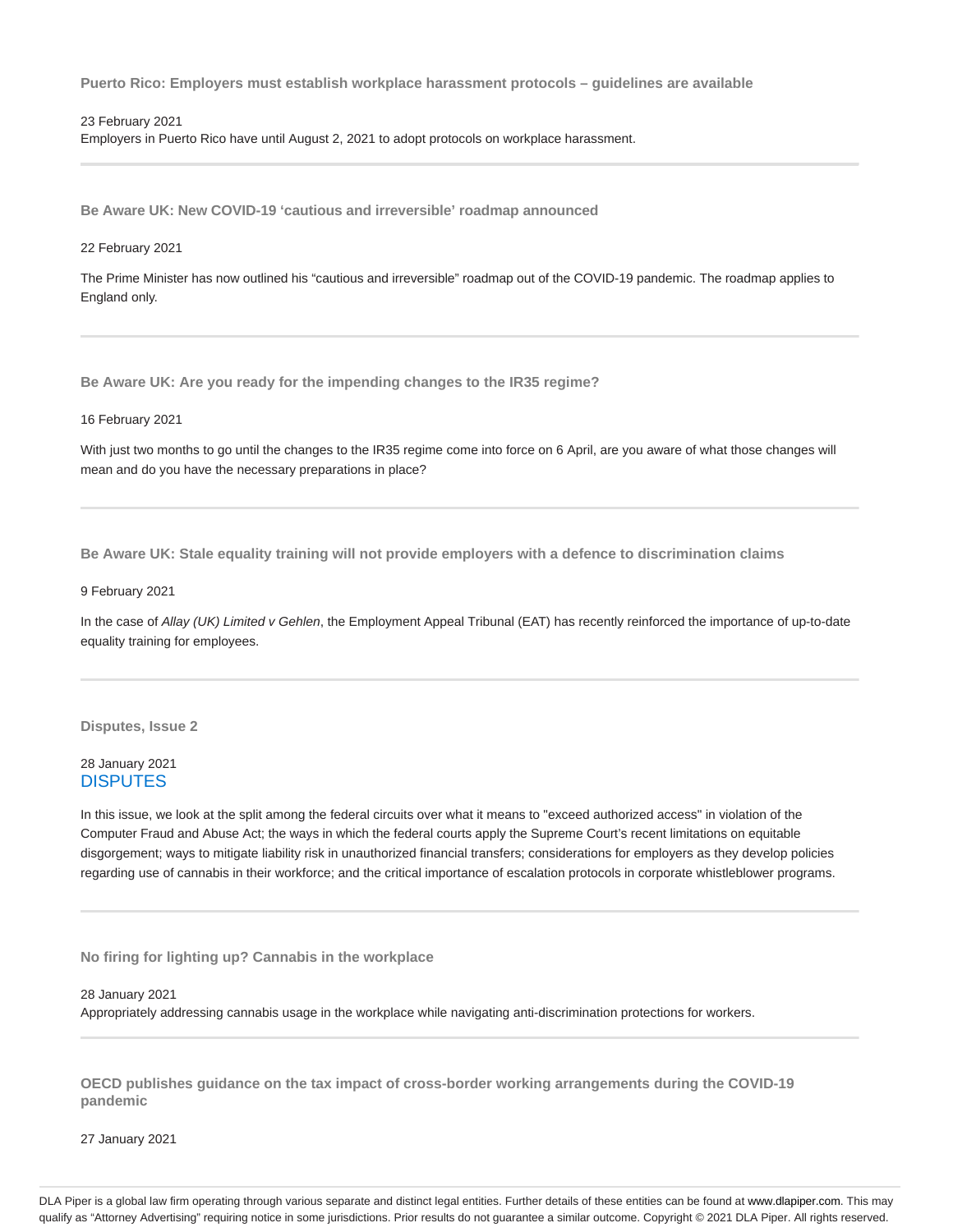**Puerto Rico: Employers must establish workplace harassment protocols – guidelines are available**

#### 23 February 2021

Employers in Puerto Rico have until August 2, 2021 to adopt protocols on workplace harassment.

**Be Aware UK: New COVID-19 'cautious and irreversible' roadmap announced**

#### 22 February 2021

The Prime Minister has now outlined his "cautious and irreversible" roadmap out of the COVID-19 pandemic. The roadmap applies to England only.

**Be Aware UK: Are you ready for the impending changes to the IR35 regime?**

#### 16 February 2021

With just two months to go until the changes to the IR35 regime come into force on 6 April, are you aware of what those changes will mean and do you have the necessary preparations in place?

**Be Aware UK: Stale equality training will not provide employers with a defence to discrimination claims**

#### 9 February 2021

In the case of Allay (UK) Limited v Gehlen, the Employment Appeal Tribunal (EAT) has recently reinforced the importance of up-to-date equality training for employees.

**Disputes, Issue 2**

## 28 January 2021 **DISPUTES**

In this issue, we look at the split among the federal circuits over what it means to "exceed authorized access" in violation of the Computer Fraud and Abuse Act; the ways in which the federal courts apply the Supreme Court's recent limitations on equitable disgorgement; ways to mitigate liability risk in unauthorized financial transfers; considerations for employers as they develop policies regarding use of cannabis in their workforce; and the critical importance of escalation protocols in corporate whistleblower programs.

**No firing for lighting up? Cannabis in the workplace**

28 January 2021

Appropriately addressing cannabis usage in the workplace while navigating anti-discrimination protections for workers.

**OECD publishes guidance on the tax impact of cross-border working arrangements during the COVID-19 pandemic**

27 January 2021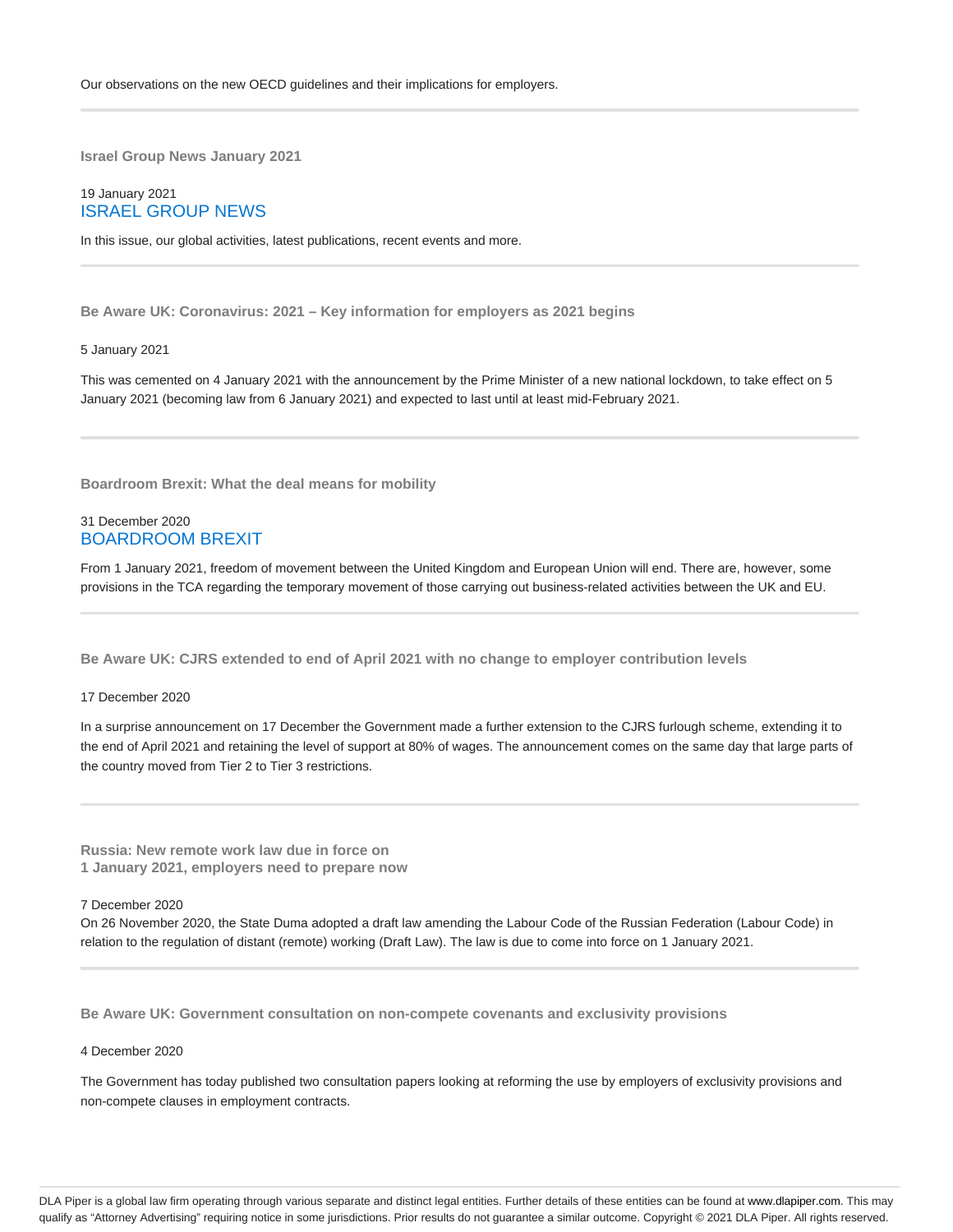**Israel Group News January 2021**

## 19 January 2021 ISRAEL GROUP NEWS

In this issue, our global activities, latest publications, recent events and more.

**Be Aware UK: Coronavirus: 2021 – Key information for employers as 2021 begins**

#### 5 January 2021

This was cemented on 4 January 2021 with the announcement by the Prime Minister of a new national lockdown, to take effect on 5 January 2021 (becoming law from 6 January 2021) and expected to last until at least mid-February 2021.

**Boardroom Brexit: What the deal means for mobility**

## 31 December 2020 BOARDROOM BREXIT

From 1 January 2021, freedom of movement between the United Kingdom and European Union will end. There are, however, some provisions in the TCA regarding the temporary movement of those carrying out business-related activities between the UK and EU.

**Be Aware UK: CJRS extended to end of April 2021 with no change to employer contribution levels**

#### 17 December 2020

In a surprise announcement on 17 December the Government made a further extension to the CJRS furlough scheme, extending it to the end of April 2021 and retaining the level of support at 80% of wages. The announcement comes on the same day that large parts of the country moved from Tier 2 to Tier 3 restrictions.

**Russia: New remote work law due in force on 1 January 2021, employers need to prepare now**

7 December 2020

On 26 November 2020, the State Duma adopted a draft law amending the Labour Code of the Russian Federation (Labour Code) in relation to the regulation of distant (remote) working (Draft Law). The law is due to come into force on 1 January 2021.

**Be Aware UK: Government consultation on non-compete covenants and exclusivity provisions**

4 December 2020

The Government has today published two consultation papers looking at reforming the use by employers of exclusivity provisions and non-compete clauses in employment contracts.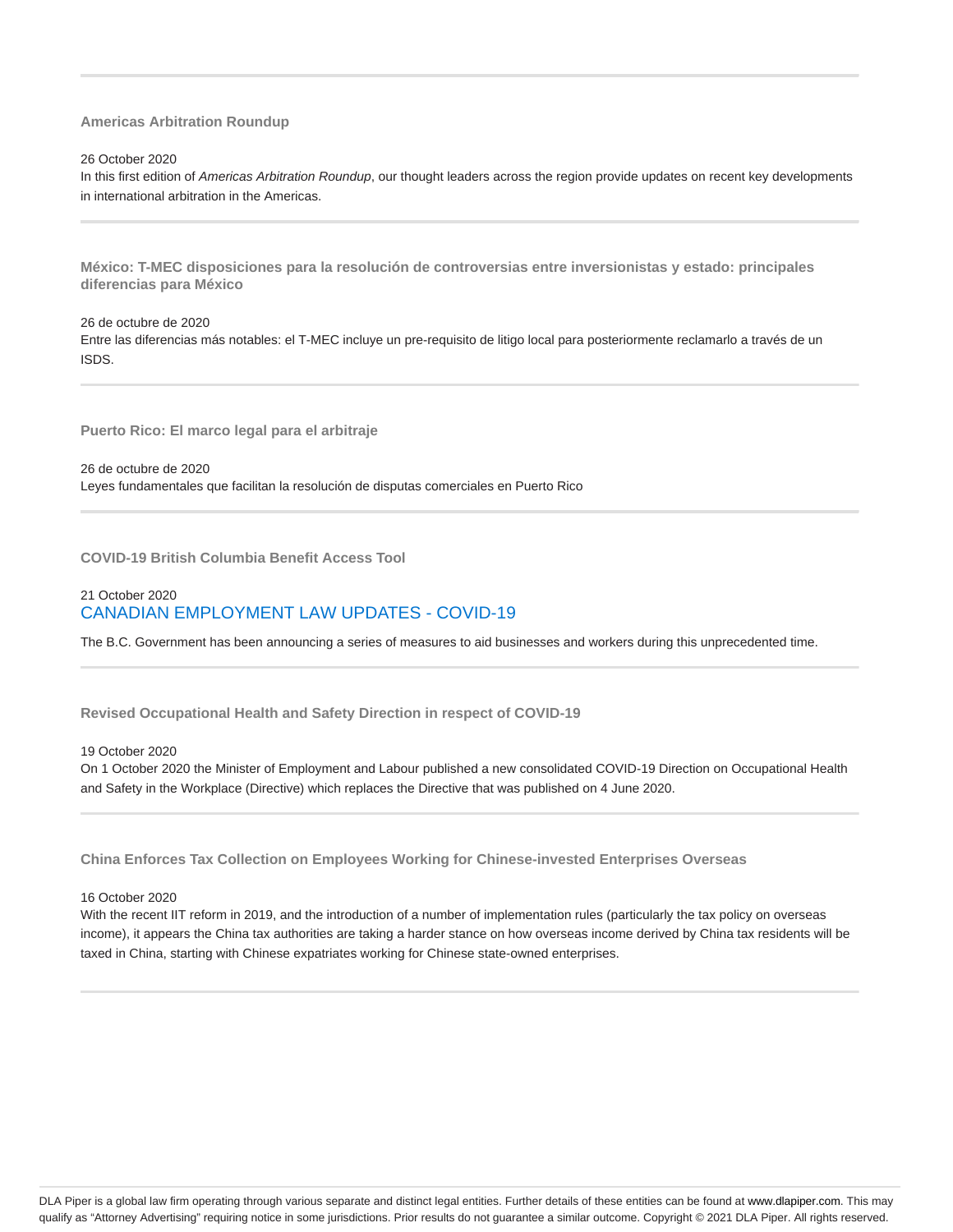#### **Americas Arbitration Roundup**

26 October 2020

In this first edition of Americas Arbitration Roundup, our thought leaders across the region provide updates on recent key developments in international arbitration in the Americas.

**México: T-MEC disposiciones para la resolución de controversias entre inversionistas y estado: principales diferencias para México**

26 de octubre de 2020 Entre las diferencias más notables: el T-MEC incluye un pre-requisito de litigo local para posteriormente reclamarlo a través de un ISDS.

**Puerto Rico: El marco legal para el arbitraje**

26 de octubre de 2020 Leyes fundamentales que facilitan la resolución de disputas comerciales en Puerto Rico

**COVID-19 British Columbia Benefit Access Tool**

## 21 October 2020 CANADIAN EMPLOYMENT LAW UPDATES - COVID-19

The B.C. Government has been announcing a series of measures to aid businesses and workers during this unprecedented time.

**Revised Occupational Health and Safety Direction in respect of COVID-19**

19 October 2020

On 1 October 2020 the Minister of Employment and Labour published a new consolidated COVID-19 Direction on Occupational Health and Safety in the Workplace (Directive) which replaces the Directive that was published on 4 June 2020.

**China Enforces Tax Collection on Employees Working for Chinese-invested Enterprises Overseas**

16 October 2020

With the recent IIT reform in 2019, and the introduction of a number of implementation rules (particularly the tax policy on overseas income), it appears the China tax authorities are taking a harder stance on how overseas income derived by China tax residents will be taxed in China, starting with Chinese expatriates working for Chinese state-owned enterprises.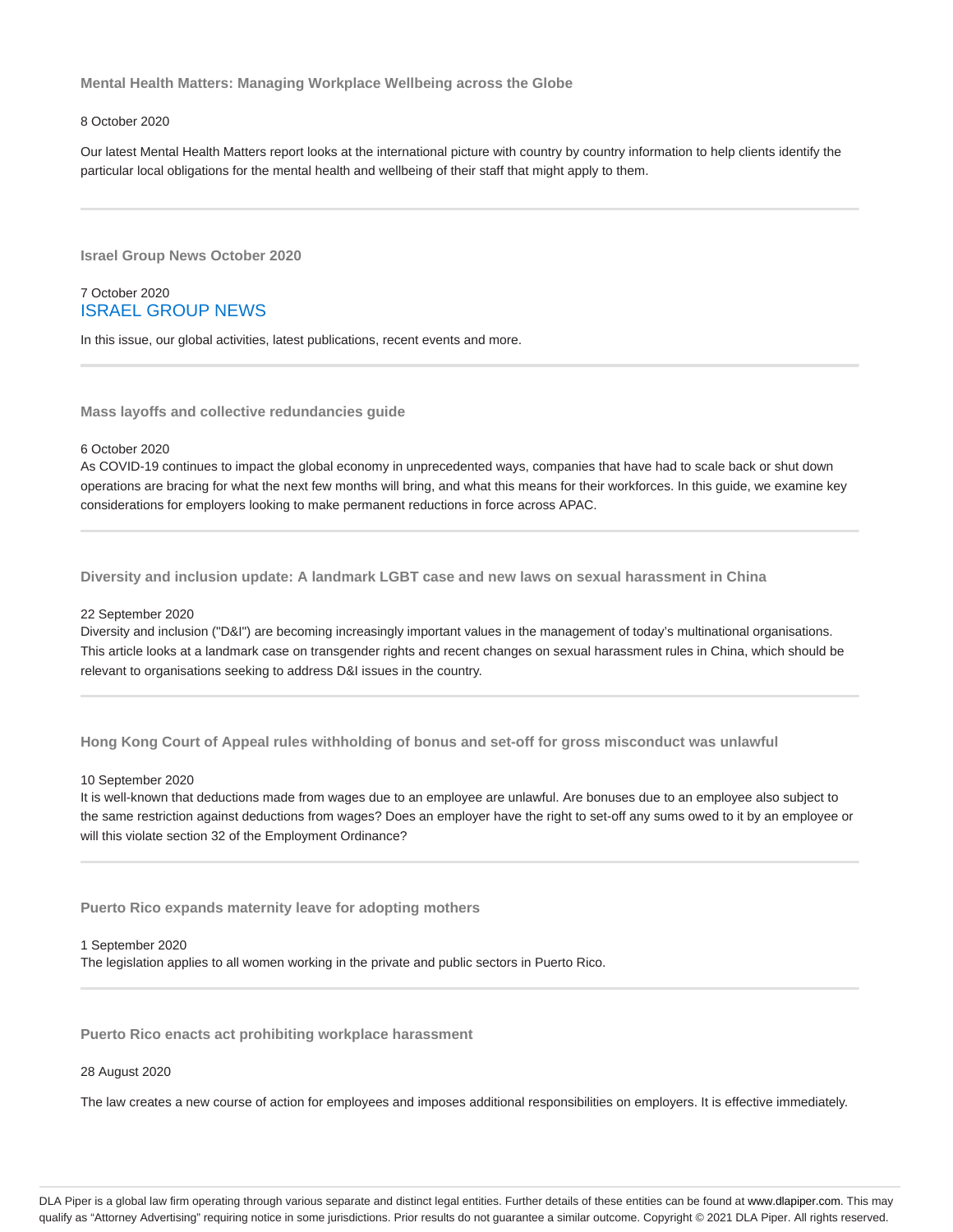**Mental Health Matters: Managing Workplace Wellbeing across the Globe**

#### 8 October 2020

Our latest Mental Health Matters report looks at the international picture with country by country information to help clients identify the particular local obligations for the mental health and wellbeing of their staff that might apply to them.

**Israel Group News October 2020**

## 7 October 2020 ISRAEL GROUP NEWS

In this issue, our global activities, latest publications, recent events and more.

**Mass layoffs and collective redundancies guide**

#### 6 October 2020

As COVID-19 continues to impact the global economy in unprecedented ways, companies that have had to scale back or shut down operations are bracing for what the next few months will bring, and what this means for their workforces. In this guide, we examine key considerations for employers looking to make permanent reductions in force across APAC.

**Diversity and inclusion update: A landmark LGBT case and new laws on sexual harassment in China**

#### 22 September 2020

Diversity and inclusion ("D&I") are becoming increasingly important values in the management of today's multinational organisations. This article looks at a landmark case on transgender rights and recent changes on sexual harassment rules in China, which should be relevant to organisations seeking to address D&I issues in the country.

**Hong Kong Court of Appeal rules withholding of bonus and set-off for gross misconduct was unlawful**

#### 10 September 2020

It is well-known that deductions made from wages due to an employee are unlawful. Are bonuses due to an employee also subject to the same restriction against deductions from wages? Does an employer have the right to set-off any sums owed to it by an employee or will this violate section 32 of the Employment Ordinance?

**Puerto Rico expands maternity leave for adopting mothers**

1 September 2020 The legislation applies to all women working in the private and public sectors in Puerto Rico.

**Puerto Rico enacts act prohibiting workplace harassment**

#### 28 August 2020

The law creates a new course of action for employees and imposes additional responsibilities on employers. It is effective immediately.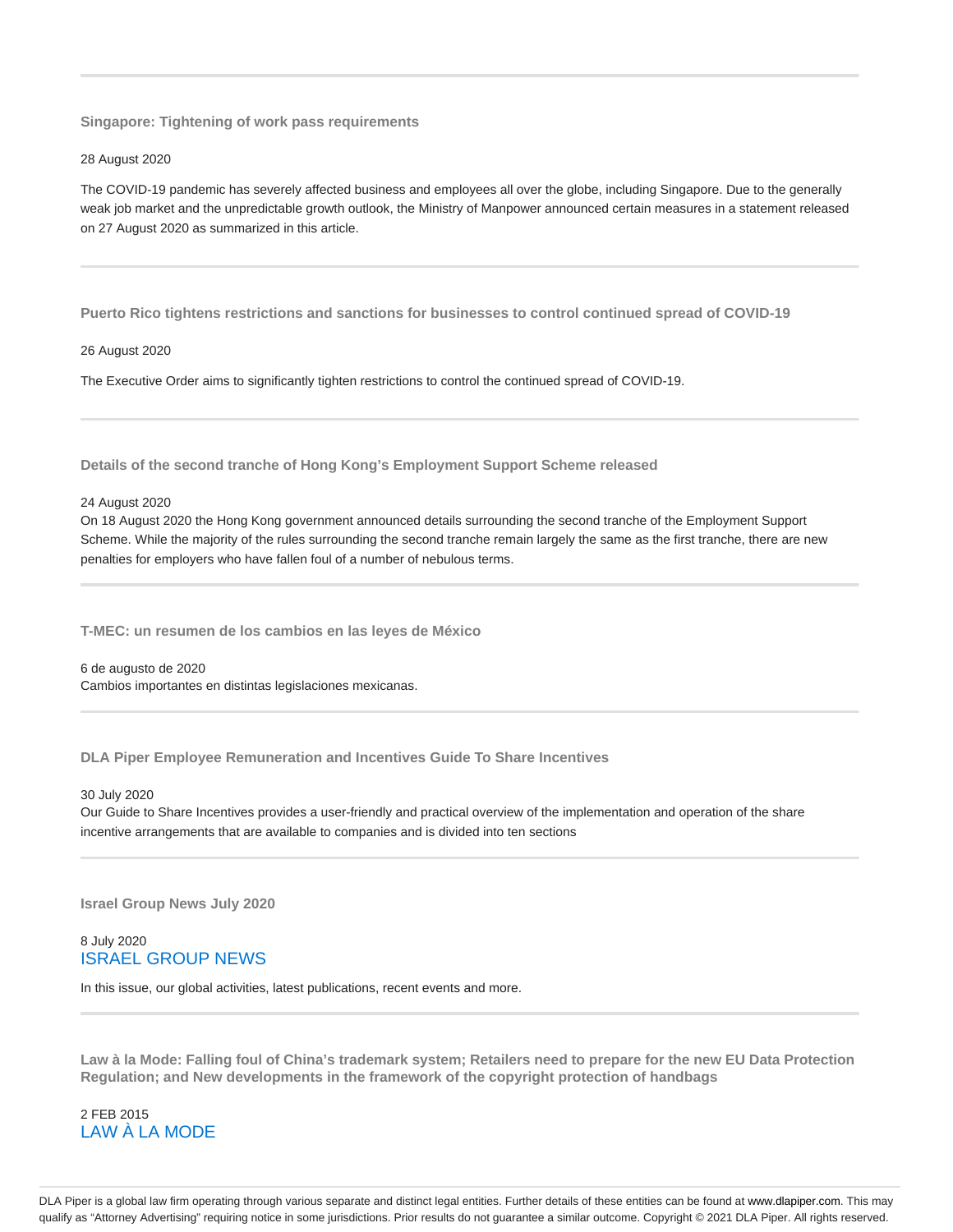**Singapore: Tightening of work pass requirements**

#### 28 August 2020

The COVID-19 pandemic has severely affected business and employees all over the globe, including Singapore. Due to the generally weak job market and the unpredictable growth outlook, the Ministry of Manpower announced certain measures in a statement released on 27 August 2020 as summarized in this article.

**Puerto Rico tightens restrictions and sanctions for businesses to control continued spread of COVID-19**

#### 26 August 2020

The Executive Order aims to significantly tighten restrictions to control the continued spread of COVID-19.

**Details of the second tranche of Hong Kong's Employment Support Scheme released**

#### 24 August 2020

On 18 August 2020 the Hong Kong government announced details surrounding the second tranche of the Employment Support Scheme. While the majority of the rules surrounding the second tranche remain largely the same as the first tranche, there are new penalties for employers who have fallen foul of a number of nebulous terms.

**T-MEC: un resumen de los cambios en las leyes de México**

6 de augusto de 2020 Cambios importantes en distintas legislaciones mexicanas.

**DLA Piper Employee Remuneration and Incentives Guide To Share Incentives**

#### 30 July 2020

Our Guide to Share Incentives provides a user-friendly and practical overview of the implementation and operation of the share incentive arrangements that are available to companies and is divided into ten sections

**Israel Group News July 2020**

## 8 July 2020 ISRAEL GROUP NEWS

In this issue, our global activities, latest publications, recent events and more.

**Law à la Mode: Falling foul of China's trademark system; Retailers need to prepare for the new EU Data Protection Regulation; and New developments in the framework of the copyright protection of handbags**

2 FEB 2015 LAW À LA MODE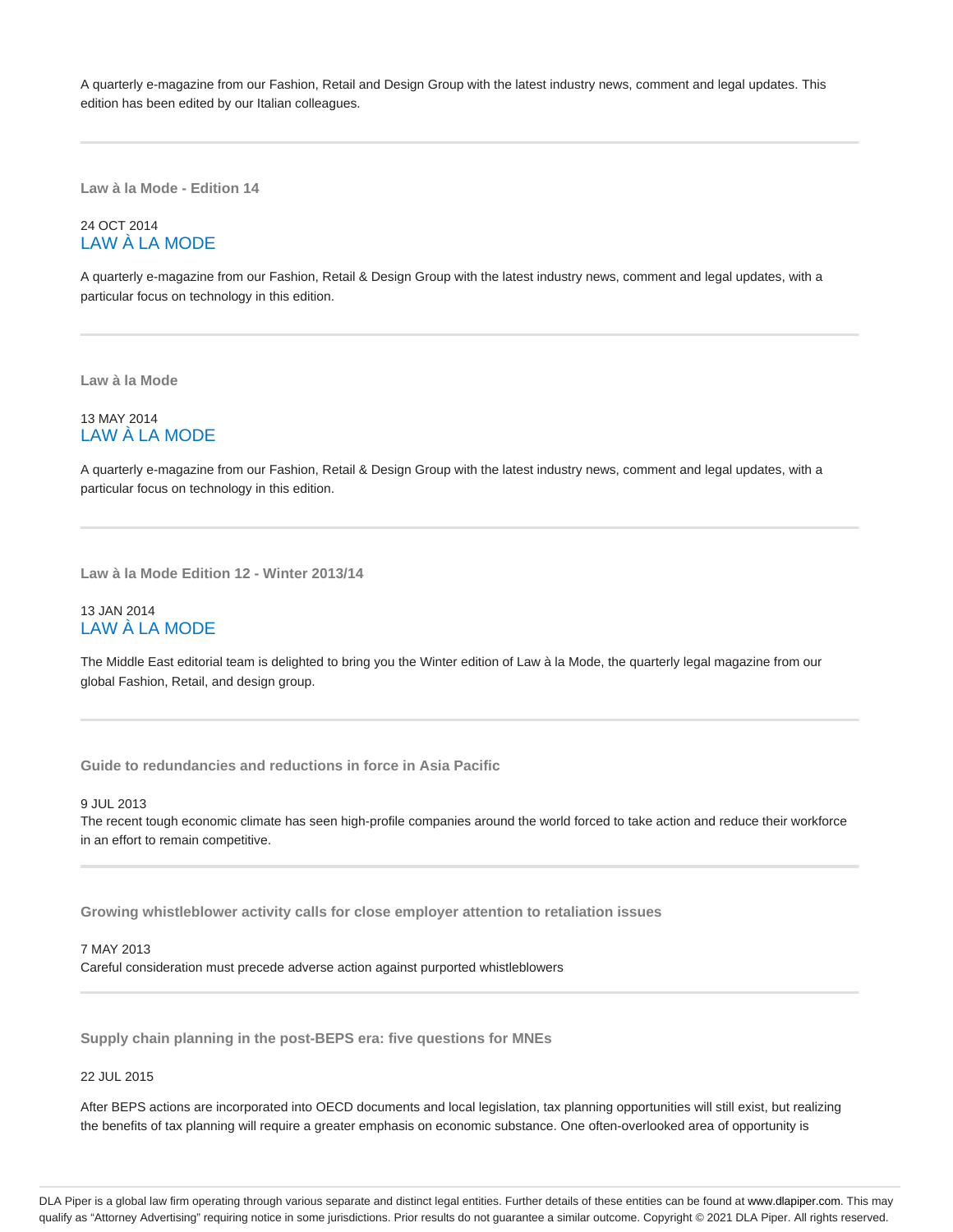A quarterly e-magazine from our Fashion, Retail and Design Group with the latest industry news, comment and legal updates. This edition has been edited by our Italian colleagues.

**Law à la Mode - Edition 14**

## 24 OCT 2014 LAW À LA MODE

A quarterly e-magazine from our Fashion, Retail & Design Group with the latest industry news, comment and legal updates, with a particular focus on technology in this edition.

**Law à la Mode**

## 13 MAY 2014 LAW À LA MODE

A quarterly e-magazine from our Fashion, Retail & Design Group with the latest industry news, comment and legal updates, with a particular focus on technology in this edition.

**Law à la Mode Edition 12 - Winter 2013/14**

## 13 JAN 2014 LAW À LA MODE

The Middle East editorial team is delighted to bring you the Winter edition of Law à la Mode, the quarterly legal magazine from our global Fashion, Retail, and design group.

**Guide to redundancies and reductions in force in Asia Pacific**

9 JUL 2013 The recent tough economic climate has seen high-profile companies around the world forced to take action and reduce their workforce in an effort to remain competitive.

**Growing whistleblower activity calls for close employer attention to retaliation issues**

7 MAY 2013

Careful consideration must precede adverse action against purported whistleblowers

**Supply chain planning in the post-BEPS era: five questions for MNEs**

22 JUL 2015

After BEPS actions are incorporated into OECD documents and local legislation, tax planning opportunities will still exist, but realizing the benefits of tax planning will require a greater emphasis on economic substance. One often-overlooked area of opportunity is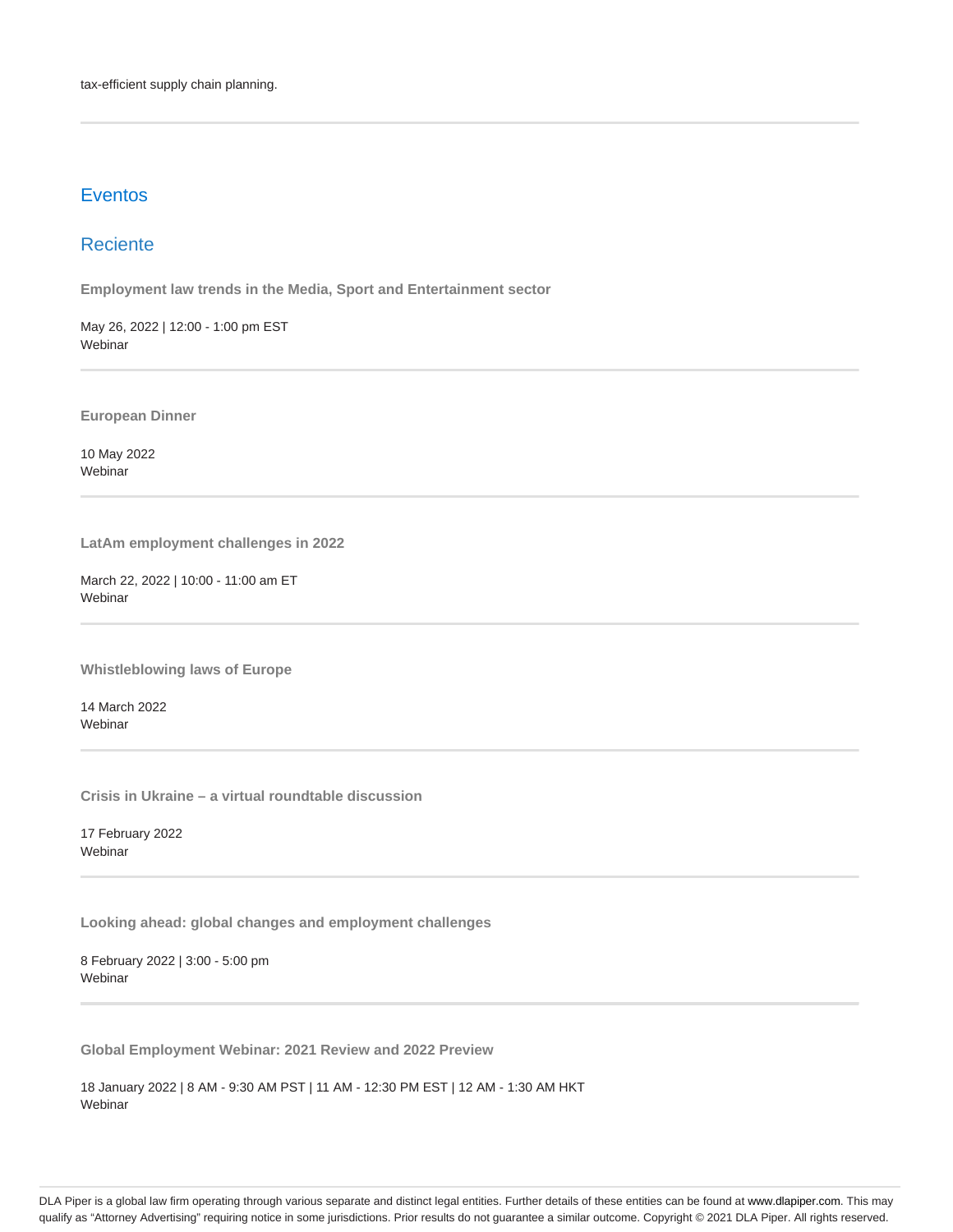# **Eventos**

# Reciente

**Employment law trends in the Media, Sport and Entertainment sector**

May 26, 2022 | 12:00 - 1:00 pm EST Webinar

**European Dinner**

10 May 2022 Webinar

**LatAm employment challenges in 2022**

March 22, 2022 | 10:00 - 11:00 am ET Webinar

**Whistleblowing laws of Europe**

14 March 2022 **Webinar** 

**Crisis in Ukraine – a virtual roundtable discussion**

17 February 2022 **Webinar** 

**Looking ahead: global changes and employment challenges**

8 February 2022 | 3:00 - 5:00 pm Webinar

**Global Employment Webinar: 2021 Review and 2022 Preview**

18 January 2022 | 8 AM - 9:30 AM PST | 11 AM - 12:30 PM EST | 12 AM - 1:30 AM HKT Webinar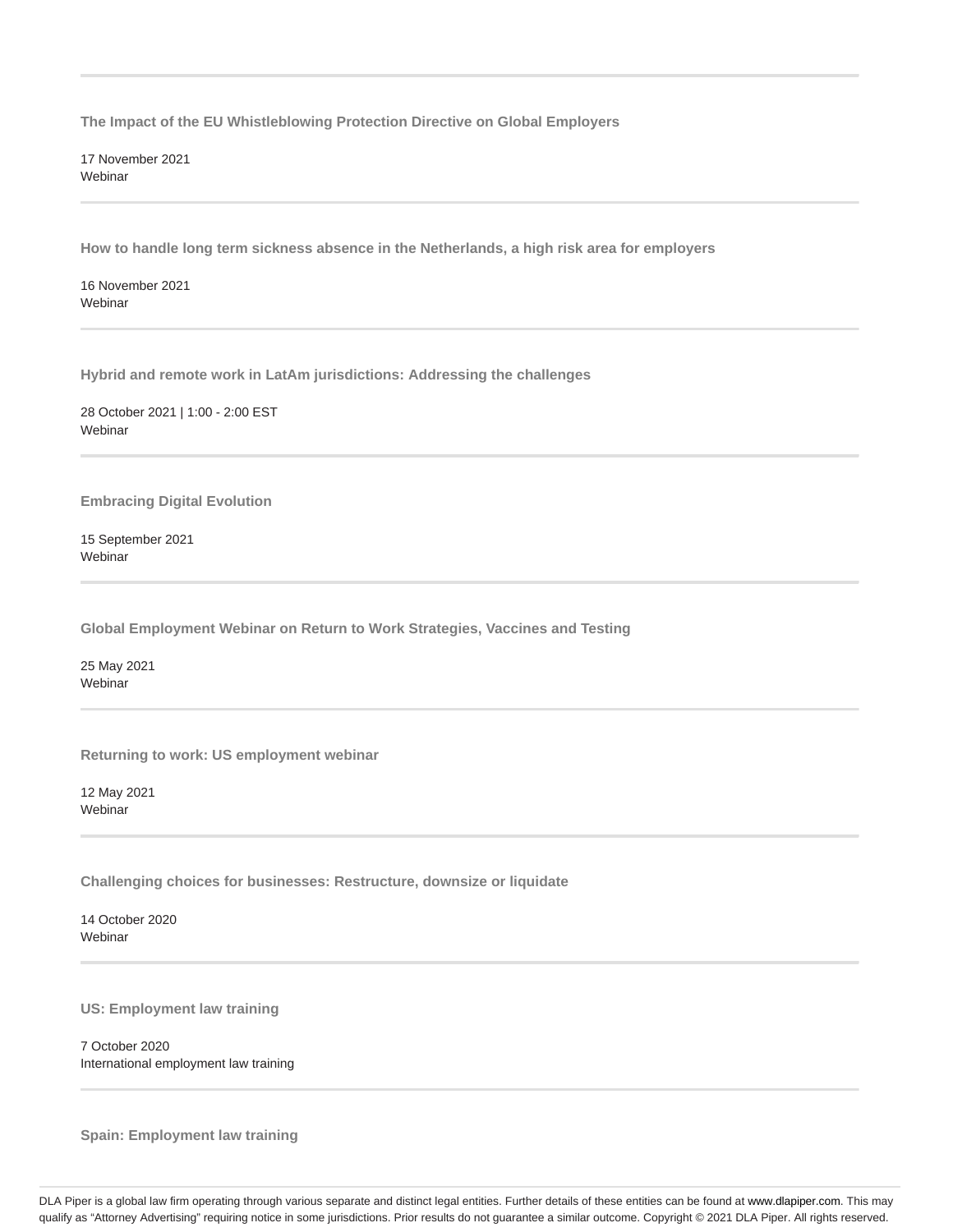**The Impact of the EU Whistleblowing Protection Directive on Global Employers**

17 November 2021 Webinar

**How to handle long term sickness absence in the Netherlands, a high risk area for employers**

16 November 2021 Webinar

**Hybrid and remote work in LatAm jurisdictions: Addressing the challenges**

28 October 2021 | 1:00 - 2:00 EST Webinar

**Embracing Digital Evolution**

15 September 2021 Webinar

**Global Employment Webinar on Return to Work Strategies, Vaccines and Testing**

25 May 2021 Webinar

**Returning to work: US employment webinar**

12 May 2021 Webinar

**Challenging choices for businesses: Restructure, downsize or liquidate**

14 October 2020 **Webinar** 

**US: Employment law training**

7 October 2020 International employment law training

**Spain: Employment law training**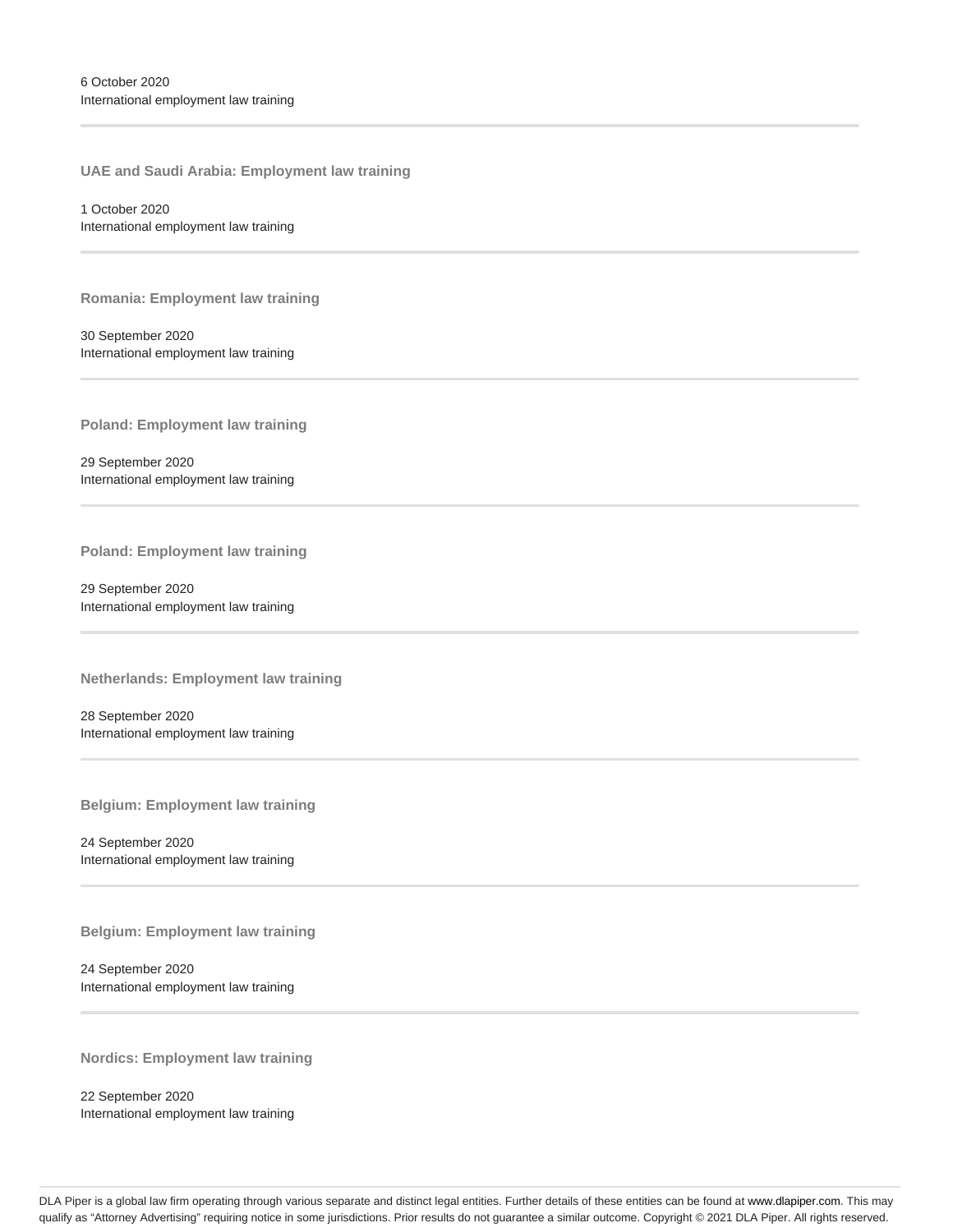**UAE and Saudi Arabia: Employment law training**

1 October 2020 International employment law training

**Romania: Employment law training**

30 September 2020 International employment law training

**Poland: Employment law training**

29 September 2020 International employment law training

**Poland: Employment law training**

29 September 2020 International employment law training

**Netherlands: Employment law training**

28 September 2020 International employment law training

**Belgium: Employment law training**

24 September 2020 International employment law training

**Belgium: Employment law training**

24 September 2020 International employment law training

**Nordics: Employment law training**

22 September 2020 International employment law training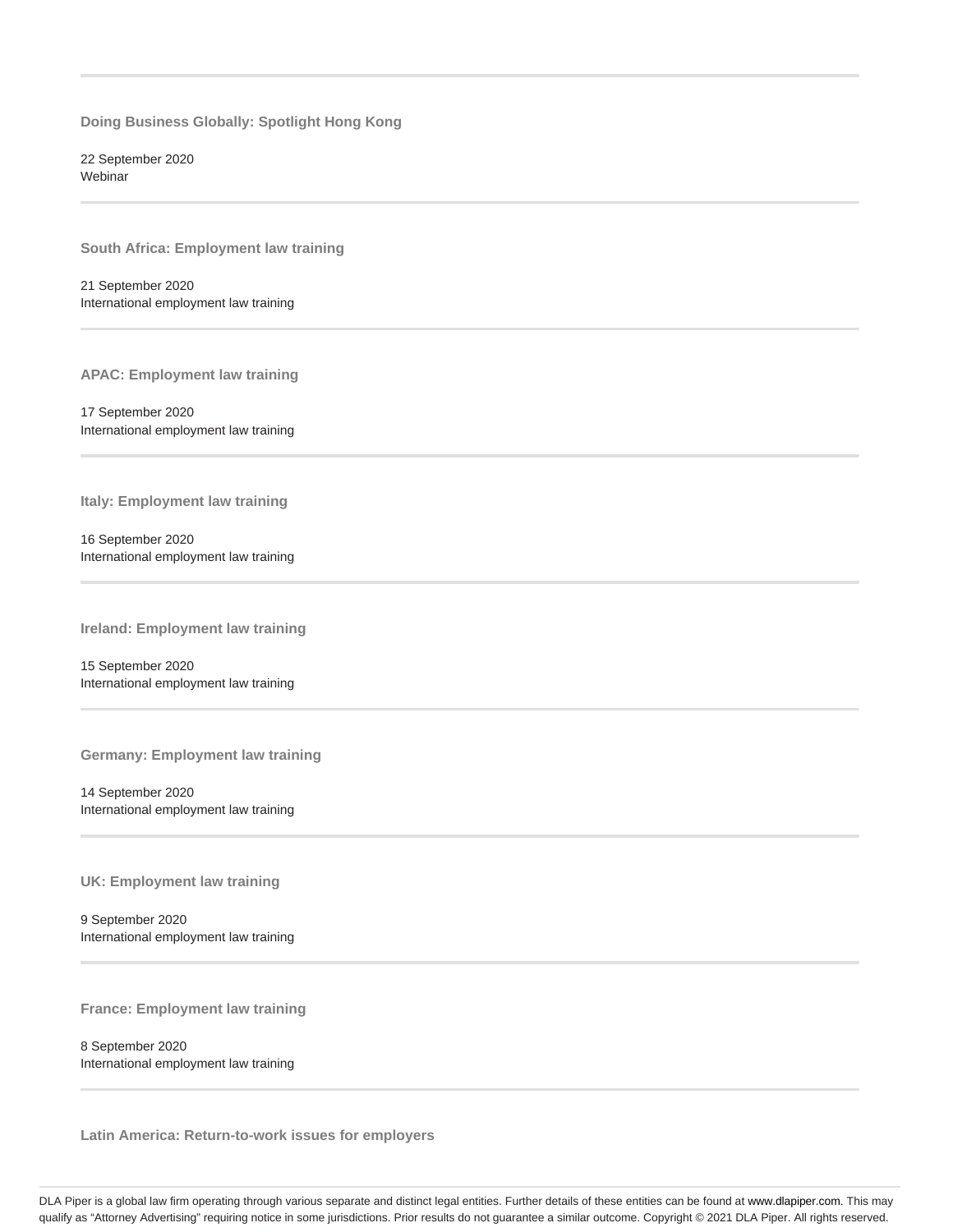**Doing Business Globally: Spotlight Hong Kong**

22 September 2020 **Webinar** 

**South Africa: Employment law training**

21 September 2020 International employment law training

**APAC: Employment law training**

17 September 2020 International employment law training

**Italy: Employment law training**

16 September 2020 International employment law training

**Ireland: Employment law training**

15 September 2020 International employment law training

**Germany: Employment law training**

14 September 2020 International employment law training

**UK: Employment law training**

9 September 2020 International employment law training

**France: Employment law training**

8 September 2020 International employment law training

**Latin America: Return-to-work issues for employers**